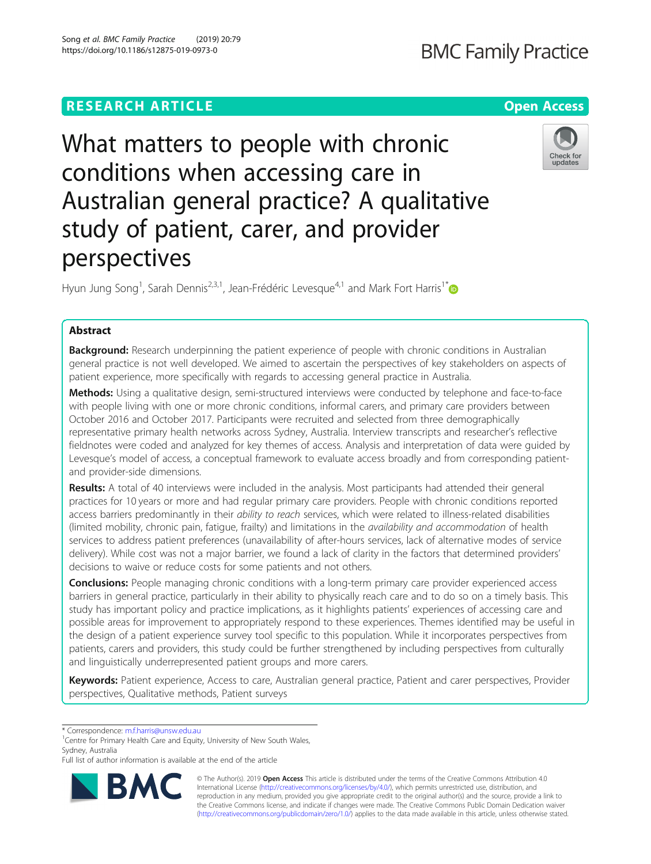# **RESEARCH ARTICLE EXECUTE: CONSIDERING A RESEARCH ARTICLE**

# What matters to people with chronic conditions when accessing care in Australian general practice? A qualitative study of patient, carer, and provider perspectives

Hyun Jung Song<sup>1</sup>, Sarah Dennis<sup>2,3,1</sup>, Jean-Frédéric Levesque<sup>4,1</sup> and Mark Fort Harris<sup>1\*</sup>

# Abstract

**Background:** Research underpinning the patient experience of people with chronic conditions in Australian general practice is not well developed. We aimed to ascertain the perspectives of key stakeholders on aspects of patient experience, more specifically with regards to accessing general practice in Australia.

Methods: Using a qualitative design, semi-structured interviews were conducted by telephone and face-to-face with people living with one or more chronic conditions, informal carers, and primary care providers between October 2016 and October 2017. Participants were recruited and selected from three demographically representative primary health networks across Sydney, Australia. Interview transcripts and researcher's reflective fieldnotes were coded and analyzed for key themes of access. Analysis and interpretation of data were guided by Levesque's model of access, a conceptual framework to evaluate access broadly and from corresponding patientand provider-side dimensions.

Results: A total of 40 interviews were included in the analysis. Most participants had attended their general practices for 10 years or more and had regular primary care providers. People with chronic conditions reported access barriers predominantly in their *ability to reach services*, which were related to illness-related disabilities (limited mobility, chronic pain, fatigue, frailty) and limitations in the availability and accommodation of health services to address patient preferences (unavailability of after-hours services, lack of alternative modes of service delivery). While cost was not a major barrier, we found a lack of clarity in the factors that determined providers' decisions to waive or reduce costs for some patients and not others.

**Conclusions:** People managing chronic conditions with a long-term primary care provider experienced access barriers in general practice, particularly in their ability to physically reach care and to do so on a timely basis. This study has important policy and practice implications, as it highlights patients' experiences of accessing care and possible areas for improvement to appropriately respond to these experiences. Themes identified may be useful in the design of a patient experience survey tool specific to this population. While it incorporates perspectives from patients, carers and providers, this study could be further strengthened by including perspectives from culturally and linguistically underrepresented patient groups and more carers.

Keywords: Patient experience, Access to care, Australian general practice, Patient and carer perspectives, Provider perspectives, Qualitative methods, Patient surveys

\* Correspondence: [m.f.harris@unsw.edu.au](mailto:m.f.harris@unsw.edu.au) <sup>1</sup>

<sup>1</sup> Centre for Primary Health Care and Equity, University of New South Wales, Sydney, Australia

Full list of author information is available at the end of the article



International License [\(http://creativecommons.org/licenses/by/4.0/](http://creativecommons.org/licenses/by/4.0/)), which permits unrestricted use, distribution, and reproduction in any medium, provided you give appropriate credit to the original author(s) and the source, provide a link to the Creative Commons license, and indicate if changes were made. The Creative Commons Public Domain Dedication waiver [\(http://creativecommons.org/publicdomain/zero/1.0/](http://creativecommons.org/publicdomain/zero/1.0/)) applies to the data made available in this article, unless otherwise stated.



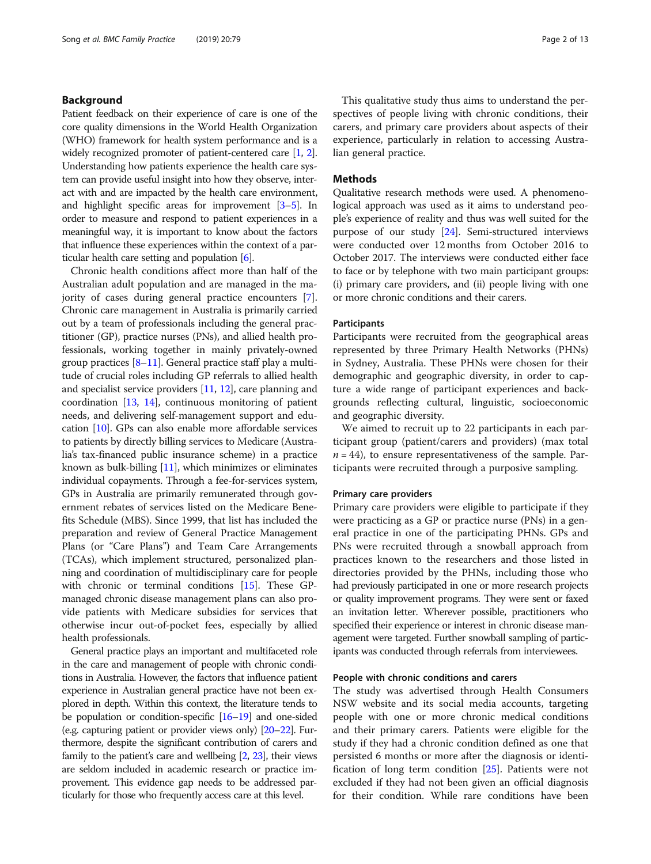# Background

Patient feedback on their experience of care is one of the core quality dimensions in the World Health Organization (WHO) framework for health system performance and is a widely recognized promoter of patient-centered care [[1](#page-12-0), [2](#page-12-0)]. Understanding how patients experience the health care system can provide useful insight into how they observe, interact with and are impacted by the health care environment, and highlight specific areas for improvement [\[3](#page-12-0)–[5](#page-12-0)]. In order to measure and respond to patient experiences in a meaningful way, it is important to know about the factors that influence these experiences within the context of a particular health care setting and population [\[6\]](#page-12-0).

Chronic health conditions affect more than half of the Australian adult population and are managed in the majority of cases during general practice encounters [\[7](#page-12-0)]. Chronic care management in Australia is primarily carried out by a team of professionals including the general practitioner (GP), practice nurses (PNs), and allied health professionals, working together in mainly privately-owned group practices [\[8](#page-12-0)–[11](#page-12-0)]. General practice staff play a multitude of crucial roles including GP referrals to allied health and specialist service providers [[11](#page-12-0), [12\]](#page-12-0), care planning and coordination [\[13](#page-12-0), [14\]](#page-12-0), continuous monitoring of patient needs, and delivering self-management support and education [[10](#page-12-0)]. GPs can also enable more affordable services to patients by directly billing services to Medicare (Australia's tax-financed public insurance scheme) in a practice known as bulk-billing [[11](#page-12-0)], which minimizes or eliminates individual copayments. Through a fee-for-services system, GPs in Australia are primarily remunerated through government rebates of services listed on the Medicare Benefits Schedule (MBS). Since 1999, that list has included the preparation and review of General Practice Management Plans (or "Care Plans") and Team Care Arrangements (TCAs), which implement structured, personalized planning and coordination of multidisciplinary care for people with chronic or terminal conditions [\[15\]](#page-12-0). These GPmanaged chronic disease management plans can also provide patients with Medicare subsidies for services that otherwise incur out-of-pocket fees, especially by allied health professionals.

General practice plays an important and multifaceted role in the care and management of people with chronic conditions in Australia. However, the factors that influence patient experience in Australian general practice have not been explored in depth. Within this context, the literature tends to be population or condition-specific [\[16](#page-12-0)–[19](#page-12-0)] and one-sided (e.g. capturing patient or provider views only) [[20](#page-12-0)–[22\]](#page-12-0). Furthermore, despite the significant contribution of carers and family to the patient's care and wellbeing [[2](#page-12-0), [23](#page-12-0)], their views are seldom included in academic research or practice improvement. This evidence gap needs to be addressed particularly for those who frequently access care at this level.

This qualitative study thus aims to understand the perspectives of people living with chronic conditions, their carers, and primary care providers about aspects of their experience, particularly in relation to accessing Australian general practice.

# Methods

Qualitative research methods were used. A phenomenological approach was used as it aims to understand people's experience of reality and thus was well suited for the purpose of our study [[24](#page-12-0)]. Semi-structured interviews were conducted over 12 months from October 2016 to October 2017. The interviews were conducted either face to face or by telephone with two main participant groups: (i) primary care providers, and (ii) people living with one or more chronic conditions and their carers.

# Participants

Participants were recruited from the geographical areas represented by three Primary Health Networks (PHNs) in Sydney, Australia. These PHNs were chosen for their demographic and geographic diversity, in order to capture a wide range of participant experiences and backgrounds reflecting cultural, linguistic, socioeconomic and geographic diversity.

We aimed to recruit up to 22 participants in each participant group (patient/carers and providers) (max total  $n = 44$ ), to ensure representativeness of the sample. Participants were recruited through a purposive sampling.

# Primary care providers

Primary care providers were eligible to participate if they were practicing as a GP or practice nurse (PNs) in a general practice in one of the participating PHNs. GPs and PNs were recruited through a snowball approach from practices known to the researchers and those listed in directories provided by the PHNs, including those who had previously participated in one or more research projects or quality improvement programs. They were sent or faxed an invitation letter. Wherever possible, practitioners who specified their experience or interest in chronic disease management were targeted. Further snowball sampling of participants was conducted through referrals from interviewees.

# People with chronic conditions and carers

The study was advertised through Health Consumers NSW website and its social media accounts, targeting people with one or more chronic medical conditions and their primary carers. Patients were eligible for the study if they had a chronic condition defined as one that persisted 6 months or more after the diagnosis or identification of long term condition [[25](#page-12-0)]. Patients were not excluded if they had not been given an official diagnosis for their condition. While rare conditions have been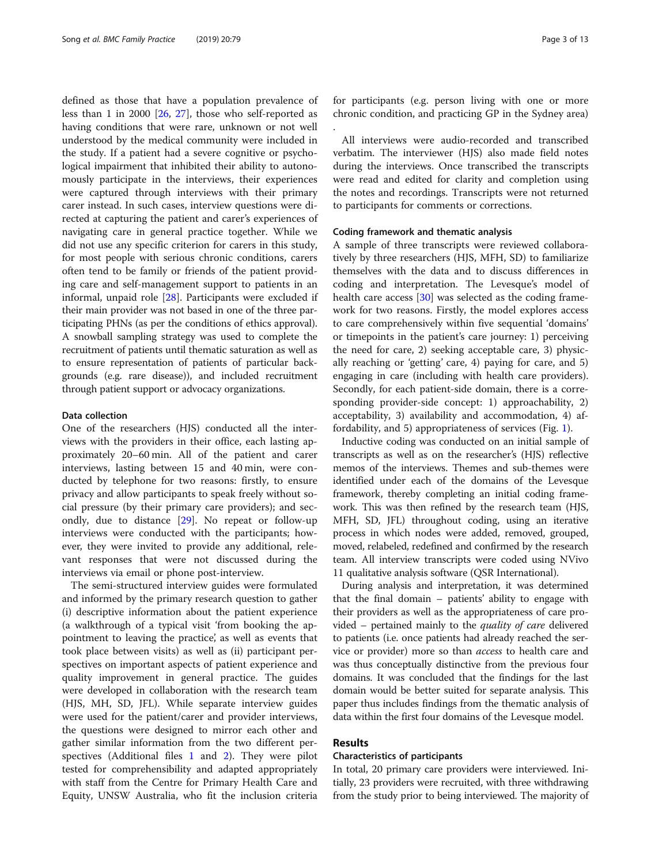defined as those that have a population prevalence of less than 1 in 2000 [[26](#page-12-0), [27](#page-12-0)], those who self-reported as having conditions that were rare, unknown or not well understood by the medical community were included in the study. If a patient had a severe cognitive or psychological impairment that inhibited their ability to autonomously participate in the interviews, their experiences were captured through interviews with their primary carer instead. In such cases, interview questions were directed at capturing the patient and carer's experiences of navigating care in general practice together. While we did not use any specific criterion for carers in this study, for most people with serious chronic conditions, carers often tend to be family or friends of the patient providing care and self-management support to patients in an informal, unpaid role [[28](#page-12-0)]. Participants were excluded if their main provider was not based in one of the three participating PHNs (as per the conditions of ethics approval). A snowball sampling strategy was used to complete the recruitment of patients until thematic saturation as well as to ensure representation of patients of particular backgrounds (e.g. rare disease)), and included recruitment through patient support or advocacy organizations.

## Data collection

One of the researchers (HJS) conducted all the interviews with the providers in their office, each lasting approximately 20–60 min. All of the patient and carer interviews, lasting between 15 and 40 min, were conducted by telephone for two reasons: firstly, to ensure privacy and allow participants to speak freely without social pressure (by their primary care providers); and secondly, due to distance [\[29](#page-12-0)]. No repeat or follow-up interviews were conducted with the participants; however, they were invited to provide any additional, relevant responses that were not discussed during the interviews via email or phone post-interview.

The semi-structured interview guides were formulated and informed by the primary research question to gather (i) descriptive information about the patient experience (a walkthrough of a typical visit 'from booking the appointment to leaving the practice', as well as events that took place between visits) as well as (ii) participant perspectives on important aspects of patient experience and quality improvement in general practice. The guides were developed in collaboration with the research team (HJS, MH, SD, JFL). While separate interview guides were used for the patient/carer and provider interviews, the questions were designed to mirror each other and gather similar information from the two different perspectives (Additional files [1](#page-11-0) and [2](#page-11-0)). They were pilot tested for comprehensibility and adapted appropriately with staff from the Centre for Primary Health Care and Equity, UNSW Australia, who fit the inclusion criteria for participants (e.g. person living with one or more chronic condition, and practicing GP in the Sydney area) .

All interviews were audio-recorded and transcribed verbatim. The interviewer (HJS) also made field notes during the interviews. Once transcribed the transcripts were read and edited for clarity and completion using the notes and recordings. Transcripts were not returned to participants for comments or corrections.

# Coding framework and thematic analysis

A sample of three transcripts were reviewed collaboratively by three researchers (HJS, MFH, SD) to familiarize themselves with the data and to discuss differences in coding and interpretation. The Levesque's model of health care access [\[30\]](#page-12-0) was selected as the coding framework for two reasons. Firstly, the model explores access to care comprehensively within five sequential 'domains' or timepoints in the patient's care journey: 1) perceiving the need for care, 2) seeking acceptable care, 3) physically reaching or 'getting' care, 4) paying for care, and 5) engaging in care (including with health care providers). Secondly, for each patient-side domain, there is a corresponding provider-side concept: 1) approachability, 2) acceptability, 3) availability and accommodation, 4) affordability, and 5) appropriateness of services (Fig. [1\)](#page-3-0).

Inductive coding was conducted on an initial sample of transcripts as well as on the researcher's (HJS) reflective memos of the interviews. Themes and sub-themes were identified under each of the domains of the Levesque framework, thereby completing an initial coding framework. This was then refined by the research team (HJS, MFH, SD, JFL) throughout coding, using an iterative process in which nodes were added, removed, grouped, moved, relabeled, redefined and confirmed by the research team. All interview transcripts were coded using NVivo 11 qualitative analysis software (QSR International).

During analysis and interpretation, it was determined that the final domain – patients' ability to engage with their providers as well as the appropriateness of care provided – pertained mainly to the quality of care delivered to patients (i.e. once patients had already reached the service or provider) more so than access to health care and was thus conceptually distinctive from the previous four domains. It was concluded that the findings for the last domain would be better suited for separate analysis. This paper thus includes findings from the thematic analysis of data within the first four domains of the Levesque model.

# Results

## Characteristics of participants

In total, 20 primary care providers were interviewed. Initially, 23 providers were recruited, with three withdrawing from the study prior to being interviewed. The majority of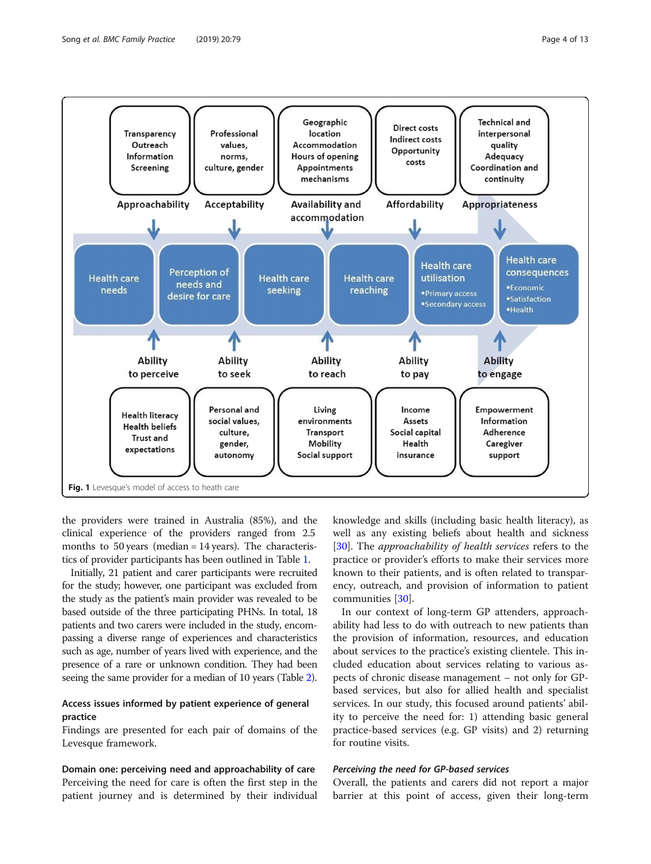<span id="page-3-0"></span>

the providers were trained in Australia (85%), and the clinical experience of the providers ranged from 2.5 months to 50 years (median = 14 years). The characteristics of provider participants has been outlined in Table [1](#page-4-0).

Initially, 21 patient and carer participants were recruited for the study; however, one participant was excluded from the study as the patient's main provider was revealed to be based outside of the three participating PHNs. In total, 18 patients and two carers were included in the study, encompassing a diverse range of experiences and characteristics such as age, number of years lived with experience, and the presence of a rare or unknown condition. They had been seeing the same provider for a median of 10 years (Table [2](#page-4-0)).

# Access issues informed by patient experience of general practice

Findings are presented for each pair of domains of the Levesque framework.

Domain one: perceiving need and approachability of care Perceiving the need for care is often the first step in the patient journey and is determined by their individual knowledge and skills (including basic health literacy), as well as any existing beliefs about health and sickness [[30\]](#page-12-0). The *approachability of health services* refers to the practice or provider's efforts to make their services more known to their patients, and is often related to transparency, outreach, and provision of information to patient communities [[30\]](#page-12-0).

In our context of long-term GP attenders, approachability had less to do with outreach to new patients than the provision of information, resources, and education about services to the practice's existing clientele. This included education about services relating to various aspects of chronic disease management – not only for GPbased services, but also for allied health and specialist services. In our study, this focused around patients' ability to perceive the need for: 1) attending basic general practice-based services (e.g. GP visits) and 2) returning for routine visits.

# Perceiving the need for GP-based services

Overall, the patients and carers did not report a major barrier at this point of access, given their long-term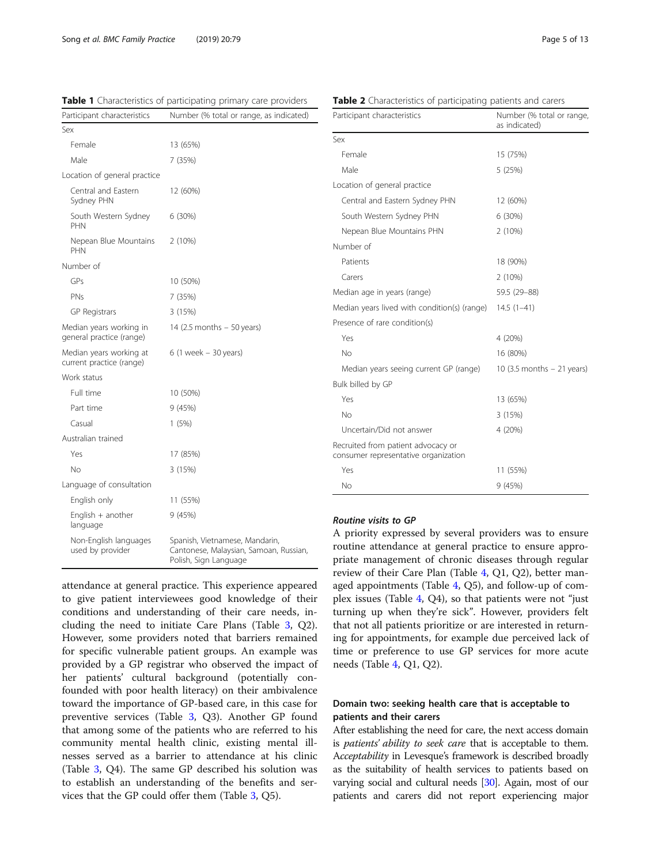<span id="page-4-0"></span>Table 1 Characteristics of participating primary care providers

| Participant characteristics                         | Number (% total or range, as indicated)                                                           |
|-----------------------------------------------------|---------------------------------------------------------------------------------------------------|
| Sex                                                 |                                                                                                   |
| Female                                              | 13 (65%)                                                                                          |
| Male                                                | 7 (35%)                                                                                           |
| Location of general practice                        |                                                                                                   |
| Central and Eastern<br>Sydney PHN                   | 12 (60%)                                                                                          |
| South Western Sydney<br>PHN                         | 6 (30%)                                                                                           |
| Nepean Blue Mountains<br>PHN                        | 2 (10%)                                                                                           |
| Number of                                           |                                                                                                   |
| GPs                                                 | 10 (50%)                                                                                          |
| PNs                                                 | 7 (35%)                                                                                           |
| GP Registrars                                       | 3 (15%)                                                                                           |
| Median years working in<br>general practice (range) | 14 $(2.5$ months $-50$ years)                                                                     |
| Median years working at<br>current practice (range) | $6(1 \text{ week} - 30 \text{ years})$                                                            |
| Work status                                         |                                                                                                   |
| Full time                                           | 10 (50%)                                                                                          |
| Part time                                           | 9 (45%)                                                                                           |
| Casual                                              | 1(5%)                                                                                             |
| Australian trained                                  |                                                                                                   |
| Yes                                                 | 17 (85%)                                                                                          |
| No                                                  | 3 (15%)                                                                                           |
| Language of consultation                            |                                                                                                   |
| English only                                        | 11 (55%)                                                                                          |
| English $+$ another<br>language                     | 9(45%)                                                                                            |
| Non-English languages<br>used by provider           | Spanish, Vietnamese, Mandarin,<br>Cantonese, Malaysian, Samoan, Russian,<br>Polish, Sign Language |

attendance at general practice. This experience appeared to give patient interviewees good knowledge of their conditions and understanding of their care needs, including the need to initiate Care Plans (Table [3,](#page-5-0) Q2). However, some providers noted that barriers remained for specific vulnerable patient groups. An example was provided by a GP registrar who observed the impact of her patients' cultural background (potentially confounded with poor health literacy) on their ambivalence toward the importance of GP-based care, in this case for preventive services (Table [3,](#page-5-0) Q3). Another GP found that among some of the patients who are referred to his community mental health clinic, existing mental illnesses served as a barrier to attendance at his clinic (Table [3,](#page-5-0) Q4). The same GP described his solution was to establish an understanding of the benefits and services that the GP could offer them (Table [3](#page-5-0), Q5).

Table 2 Characteristics of participating patients and carers Participant characteristics Number (% total or range,

| Participant characteristics                                                | inumber (% total or range,<br>as indicated) |
|----------------------------------------------------------------------------|---------------------------------------------|
| Sex                                                                        |                                             |
| Female                                                                     | 15 (75%)                                    |
| Male                                                                       | 5 (25%)                                     |
| Location of general practice                                               |                                             |
| Central and Eastern Sydney PHN                                             | 12 (60%)                                    |
| South Western Sydney PHN                                                   | 6(30%)                                      |
| Nepean Blue Mountains PHN                                                  | 2(10%)                                      |
| Number of                                                                  |                                             |
| Patients                                                                   | 18 (90%)                                    |
| Carers                                                                     | 2(10%)                                      |
| Median age in years (range)                                                | 59.5 (29-88)                                |
| Median years lived with condition(s) (range)                               | $14.5(1-41)$                                |
| Presence of rare condition(s)                                              |                                             |
| Yes                                                                        | 4 (20%)                                     |
| No                                                                         | 16 (80%)                                    |
| Median years seeing current GP (range)                                     | 10 $(3.5$ months $-21$ years)               |
| Bulk billed by GP                                                          |                                             |
| Yes                                                                        | 13 (65%)                                    |
| No                                                                         | 3(15%)                                      |
| Uncertain/Did not answer                                                   | 4 (20%)                                     |
| Recruited from patient advocacy or<br>consumer representative organization |                                             |
| Yes                                                                        | 11 (55%)                                    |
| No                                                                         | 9 (45%)                                     |

# Routine visits to GP

A priority expressed by several providers was to ensure routine attendance at general practice to ensure appropriate management of chronic diseases through regular review of their Care Plan (Table [4](#page-5-0), Q1, Q2), better managed appointments (Table [4](#page-5-0), Q5), and follow-up of complex issues (Table [4,](#page-5-0) Q4), so that patients were not "just turning up when they're sick". However, providers felt that not all patients prioritize or are interested in returning for appointments, for example due perceived lack of time or preference to use GP services for more acute needs (Table [4](#page-5-0), Q1, Q2).

# Domain two: seeking health care that is acceptable to patients and their carers

After establishing the need for care, the next access domain is patients' ability to seek care that is acceptable to them. Acceptability in Levesque's framework is described broadly as the suitability of health services to patients based on varying social and cultural needs [\[30\]](#page-12-0). Again, most of our patients and carers did not report experiencing major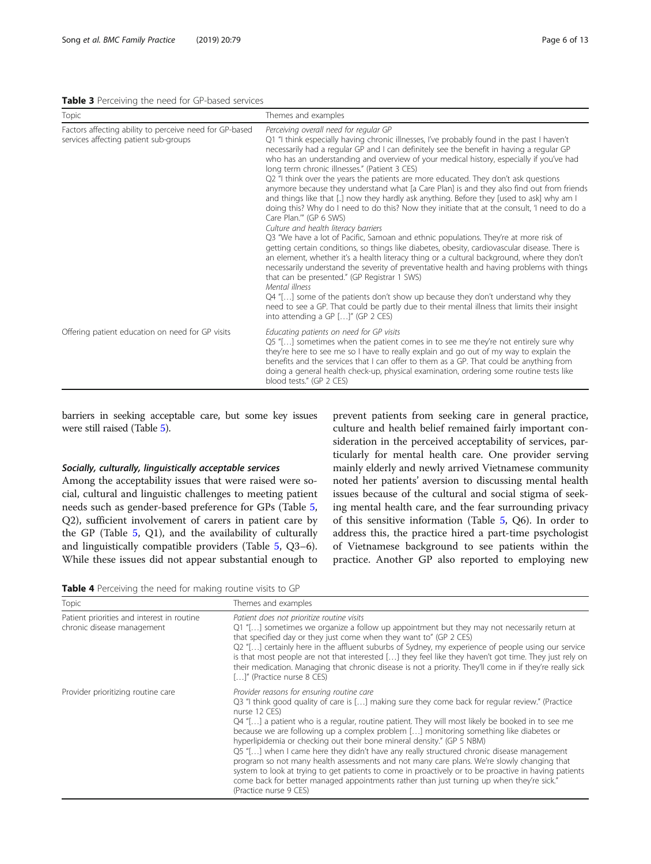<span id="page-5-0"></span>Table 3 Perceiving the need for GP-based services

| Page 6 o |  |
|----------|--|
|          |  |

| Topic                                                                                            | Themes and examples                                                                                                                                                                                                                                                                                                                                                                                                                                                                                                                                                                                                                                                                                                                                                                                                                                                                                                                                                                                                                                                                                                                                                                                                                                                                                                                                                                                                                                                                                                  |
|--------------------------------------------------------------------------------------------------|----------------------------------------------------------------------------------------------------------------------------------------------------------------------------------------------------------------------------------------------------------------------------------------------------------------------------------------------------------------------------------------------------------------------------------------------------------------------------------------------------------------------------------------------------------------------------------------------------------------------------------------------------------------------------------------------------------------------------------------------------------------------------------------------------------------------------------------------------------------------------------------------------------------------------------------------------------------------------------------------------------------------------------------------------------------------------------------------------------------------------------------------------------------------------------------------------------------------------------------------------------------------------------------------------------------------------------------------------------------------------------------------------------------------------------------------------------------------------------------------------------------------|
| Factors affecting ability to perceive need for GP-based<br>services affecting patient sub-groups | Perceiving overall need for regular GP<br>Q1 "I think especially having chronic illnesses, I've probably found in the past I haven't<br>necessarily had a regular GP and I can definitely see the benefit in having a regular GP<br>who has an understanding and overview of your medical history, especially if you've had<br>long term chronic illnesses." (Patient 3 CES)<br>Q2 "I think over the years the patients are more educated. They don't ask questions<br>anymore because they understand what [a Care Plan] is and they also find out from friends<br>and things like that [] now they hardly ask anything. Before they [used to ask] why am I<br>doing this? Why do I need to do this? Now they initiate that at the consult, 'I need to do a<br>Care Plan."" (GP 6 SWS)<br>Culture and health literacy barriers<br>Q3 "We have a lot of Pacific, Samoan and ethnic populations. They're at more risk of<br>getting certain conditions, so things like diabetes, obesity, cardiovascular disease. There is<br>an element, whether it's a health literacy thing or a cultural background, where they don't<br>necessarily understand the severity of preventative health and having problems with things<br>that can be presented." (GP Registrar 1 SWS)<br>Mental illness<br>$Q4$ "[] some of the patients don't show up because they don't understand why they<br>need to see a GP. That could be partly due to their mental illness that limits their insight<br>into attending a GP []" (GP 2 CES) |
| Offering patient education on need for GP visits                                                 | Educating patients on need for GP visits<br>Q5 "[] sometimes when the patient comes in to see me they're not entirely sure why<br>they're here to see me so I have to really explain and go out of my way to explain the<br>benefits and the services that I can offer to them as a GP. That could be anything from<br>doing a general health check-up, physical examination, ordering some routine tests like<br>blood tests." (GP 2 CES)                                                                                                                                                                                                                                                                                                                                                                                                                                                                                                                                                                                                                                                                                                                                                                                                                                                                                                                                                                                                                                                                           |

barriers in seeking acceptable care, but some key issues were still raised (Table [5](#page-6-0)).

# Socially, culturally, linguistically acceptable services

Among the acceptability issues that were raised were social, cultural and linguistic challenges to meeting patient needs such as gender-based preference for GPs (Table [5](#page-6-0), Q2), sufficient involvement of carers in patient care by the GP (Table [5](#page-6-0), Q1), and the availability of culturally and linguistically compatible providers (Table [5,](#page-6-0) Q3–6). While these issues did not appear substantial enough to prevent patients from seeking care in general practice, culture and health belief remained fairly important consideration in the perceived acceptability of services, particularly for mental health care. One provider serving mainly elderly and newly arrived Vietnamese community noted her patients' aversion to discussing mental health issues because of the cultural and social stigma of seeking mental health care, and the fear surrounding privacy of this sensitive information (Table [5](#page-6-0), Q6). In order to address this, the practice hired a part-time psychologist of Vietnamese background to see patients within the practice. Another GP also reported to employing new

Table 4 Perceiving the need for making routine visits to GP

| Topic                                                                    | Themes and examples                                                                                                                                                                                                                                                                                                                                                                                                                                                                                                                                                                                                                                                                                                                                                                                                                                                |
|--------------------------------------------------------------------------|--------------------------------------------------------------------------------------------------------------------------------------------------------------------------------------------------------------------------------------------------------------------------------------------------------------------------------------------------------------------------------------------------------------------------------------------------------------------------------------------------------------------------------------------------------------------------------------------------------------------------------------------------------------------------------------------------------------------------------------------------------------------------------------------------------------------------------------------------------------------|
| Patient priorities and interest in routine<br>chronic disease management | Patient does not prioritize routine visits<br>$Q1$ "[] sometimes we organize a follow up appointment but they may not necessarily return at<br>that specified day or they just come when they want to" (GP 2 CES)<br>Q2 "[] certainly here in the affluent suburbs of Sydney, my experience of people using our service<br>is that most people are not that interested [] they feel like they haven't got time. They just rely on<br>their medication. Managing that chronic disease is not a priority. They'll come in if they're really sick<br>[]" (Practice nurse 8 CES)                                                                                                                                                                                                                                                                                       |
| Provider prioritizing routine care                                       | Provider reasons for ensuring routine care<br>Q3 "I think good quality of care is [] making sure they come back for regular review." (Practice<br>nurse 12 CES)<br>Q4 "[] a patient who is a regular, routine patient. They will most likely be booked in to see me<br>because we are following up a complex problem [] monitoring something like diabetes or<br>hyperlipidemia or checking out their bone mineral density." (GP 5 NBM)<br>Q5 "[] when I came here they didn't have any really structured chronic disease management<br>program so not many health assessments and not many care plans. We're slowly changing that<br>system to look at trying to get patients to come in proactively or to be proactive in having patients<br>come back for better managed appointments rather than just turning up when they're sick."<br>(Practice nurse 9 CES) |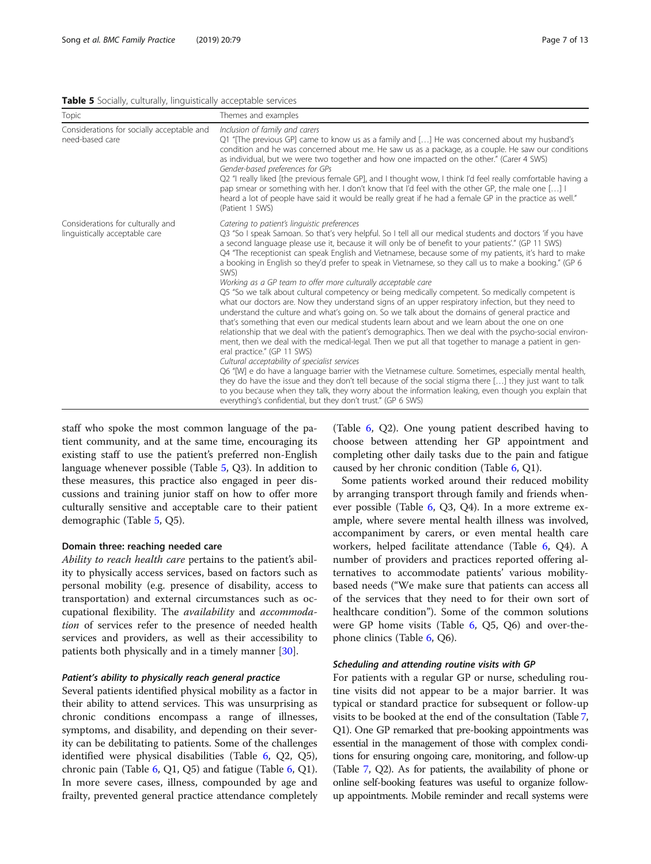## <span id="page-6-0"></span>Table 5 Socially, culturally, linguistically acceptable services

| Topic                                                               | Themes and examples                                                                                                                                                                                                                                                                                                                                                                                                                                                                                                                                                                                                                                                                                                                                                                                                                                                                                                                                                                                                                                                                                                                                                                                                                                                                                                                                                                                                                                                                                                                                                                                                                                                             |
|---------------------------------------------------------------------|---------------------------------------------------------------------------------------------------------------------------------------------------------------------------------------------------------------------------------------------------------------------------------------------------------------------------------------------------------------------------------------------------------------------------------------------------------------------------------------------------------------------------------------------------------------------------------------------------------------------------------------------------------------------------------------------------------------------------------------------------------------------------------------------------------------------------------------------------------------------------------------------------------------------------------------------------------------------------------------------------------------------------------------------------------------------------------------------------------------------------------------------------------------------------------------------------------------------------------------------------------------------------------------------------------------------------------------------------------------------------------------------------------------------------------------------------------------------------------------------------------------------------------------------------------------------------------------------------------------------------------------------------------------------------------|
| Considerations for socially acceptable and<br>need-based care       | Inclusion of family and carers<br>Q1 "[The previous GP] came to know us as a family and [] He was concerned about my husband's<br>condition and he was concerned about me. He saw us as a package, as a couple. He saw our conditions<br>as individual, but we were two together and how one impacted on the other." (Carer 4 SWS)<br>Gender-based preferences for GPs<br>Q2 "I really liked [the previous female GP], and I thought wow, I think I'd feel really comfortable having a<br>pap smear or something with her. I don't know that I'd feel with the other GP, the male one [] I<br>heard a lot of people have said it would be really great if he had a female GP in the practice as well."<br>(Patient 1 SWS)                                                                                                                                                                                                                                                                                                                                                                                                                                                                                                                                                                                                                                                                                                                                                                                                                                                                                                                                                       |
| Considerations for culturally and<br>linguistically acceptable care | Catering to patient's linguistic preferences<br>Q3 "So I speak Samoan. So that's very helpful. So I tell all our medical students and doctors 'if you have<br>a second language please use it, because it will only be of benefit to your patients'." (GP 11 SWS)<br>Q4 "The receptionist can speak English and Vietnamese, because some of my patients, it's hard to make<br>a booking in English so they'd prefer to speak in Vietnamese, so they call us to make a booking." (GP 6<br>SWS)<br>Working as a GP team to offer more culturally acceptable care<br>Q5 "So we talk about cultural competency or being medically competent. So medically competent is<br>what our doctors are. Now they understand signs of an upper respiratory infection, but they need to<br>understand the culture and what's going on. So we talk about the domains of general practice and<br>that's something that even our medical students learn about and we learn about the one on one<br>relationship that we deal with the patient's demographics. Then we deal with the psycho-social environ-<br>ment, then we deal with the medical-legal. Then we put all that together to manage a patient in gen-<br>eral practice." (GP 11 SWS)<br>Cultural acceptability of specialist services<br>Q6 "[W] e do have a language barrier with the Vietnamese culture. Sometimes, especially mental health,<br>they do have the issue and they don't tell because of the social stigma there [] they just want to talk<br>to you because when they talk, they worry about the information leaking, even though you explain that<br>everything's confidential, but they don't trust." (GP 6 SWS) |

staff who spoke the most common language of the patient community, and at the same time, encouraging its existing staff to use the patient's preferred non-English language whenever possible (Table 5, Q3). In addition to these measures, this practice also engaged in peer discussions and training junior staff on how to offer more culturally sensitive and acceptable care to their patient demographic (Table 5, Q5).

## Domain three: reaching needed care

Ability to reach health care pertains to the patient's ability to physically access services, based on factors such as personal mobility (e.g. presence of disability, access to transportation) and external circumstances such as occupational flexibility. The availability and accommodation of services refer to the presence of needed health services and providers, as well as their accessibility to patients both physically and in a timely manner [\[30\]](#page-12-0).

# Patient's ability to physically reach general practice

Several patients identified physical mobility as a factor in their ability to attend services. This was unsurprising as chronic conditions encompass a range of illnesses, symptoms, and disability, and depending on their severity can be debilitating to patients. Some of the challenges identified were physical disabilities (Table [6,](#page-7-0) Q2, Q5), chronic pain (Table  $6$ , Q1, Q5) and fatigue (Table  $6$ , Q1). In more severe cases, illness, compounded by age and frailty, prevented general practice attendance completely

(Table [6,](#page-7-0) Q2). One young patient described having to choose between attending her GP appointment and completing other daily tasks due to the pain and fatigue caused by her chronic condition (Table [6,](#page-7-0) Q1).

Some patients worked around their reduced mobility by arranging transport through family and friends whenever possible (Table [6](#page-7-0), Q3, Q4). In a more extreme example, where severe mental health illness was involved, accompaniment by carers, or even mental health care workers, helped facilitate attendance (Table [6](#page-7-0), Q4). A number of providers and practices reported offering alternatives to accommodate patients' various mobilitybased needs ("We make sure that patients can access all of the services that they need to for their own sort of healthcare condition"). Some of the common solutions were GP home visits (Table [6](#page-7-0), Q5, Q6) and over-thephone clinics (Table [6](#page-7-0), Q6).

## Scheduling and attending routine visits with GP

For patients with a regular GP or nurse, scheduling routine visits did not appear to be a major barrier. It was typical or standard practice for subsequent or follow-up visits to be booked at the end of the consultation (Table [7](#page-7-0), Q1). One GP remarked that pre-booking appointments was essential in the management of those with complex conditions for ensuring ongoing care, monitoring, and follow-up (Table [7](#page-7-0), Q2). As for patients, the availability of phone or online self-booking features was useful to organize followup appointments. Mobile reminder and recall systems were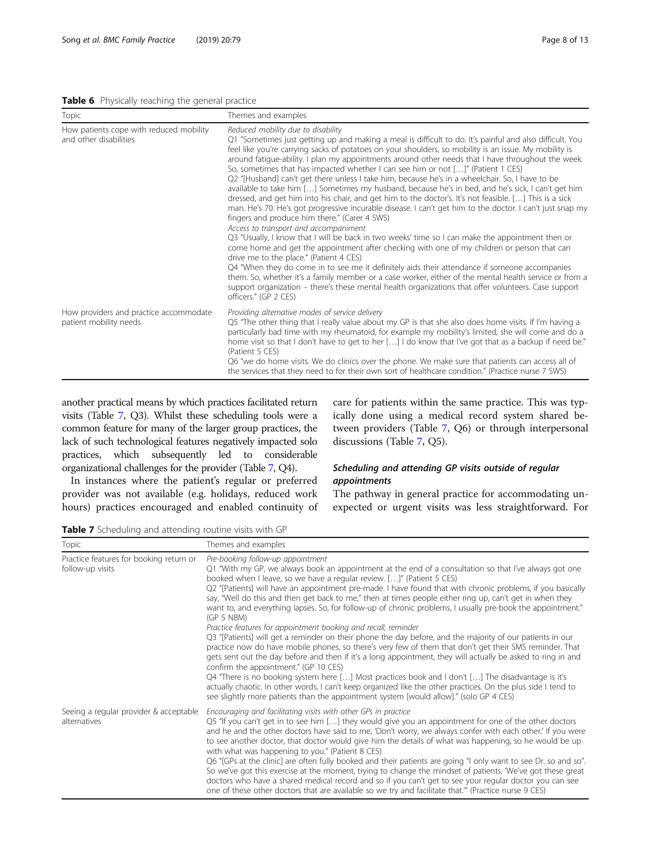# <span id="page-7-0"></span>Table 6 Physically reaching the general practice

| Topic                                                             | Themes and examples                                                                                                                                                                                                                                                                                                                                                                                                                                                                                                                                                                                                                                                                                                                                                                                                                                                                                                                                                                                                                                                                                                                                                                                                                                                                                                                                                                                                                                                                                                                                                    |
|-------------------------------------------------------------------|------------------------------------------------------------------------------------------------------------------------------------------------------------------------------------------------------------------------------------------------------------------------------------------------------------------------------------------------------------------------------------------------------------------------------------------------------------------------------------------------------------------------------------------------------------------------------------------------------------------------------------------------------------------------------------------------------------------------------------------------------------------------------------------------------------------------------------------------------------------------------------------------------------------------------------------------------------------------------------------------------------------------------------------------------------------------------------------------------------------------------------------------------------------------------------------------------------------------------------------------------------------------------------------------------------------------------------------------------------------------------------------------------------------------------------------------------------------------------------------------------------------------------------------------------------------------|
| How patients cope with reduced mobility<br>and other disabilities | Reduced mobility due to disability<br>Q1 "Sometimes just getting up and making a meal is difficult to do. It's painful and also difficult. You<br>feel like you're carrying sacks of potatoes on your shoulders, so mobility is an issue. My mobility is<br>around fatique-ability. I plan my appointments around other needs that I have throughout the week.<br>So, sometimes that has impacted whether I can see him or not []" (Patient 1 CES)<br>Q2 "[Husband] can't get there unless I take him, because he's in a wheelchair. So, I have to be<br>available to take him [] Sometimes my husband, because he's in bed, and he's sick, I can't get him<br>dressed, and get him into his chair, and get him to the doctor's. It's not feasible. [] This is a sick<br>man. He's 70. He's got progressive incurable disease. I can't get him to the doctor. I can't just snap my<br>fingers and produce him there." (Carer 4 SWS)<br>Access to transport and accompaniment<br>Q3 "Usually, I know that I will be back in two weeks' time so I can make the appointment then or<br>come home and get the appointment after checking with one of my children or person that can<br>drive me to the place." (Patient 4 CES)<br>Q4 "When they do come in to see me it definitely aids their attendance if someone accompanies<br>them. So, whether it's a family member or a case worker, either of the mental health service or from a<br>support organization – there's these mental health organizations that offer volunteers. Case support<br>officers." (GP 2 CES) |
| How providers and practice accommodate<br>patient mobility needs  | Providing alternative modes of service delivery<br>Q5 "The other thing that I really value about my GP is that she also does home visits. If I'm having a<br>particularly bad time with my rheumatoid, for example my mobility's limited, she will come and do a<br>home visit so that I don't have to get to her [] I do know that I've got that as a backup if need be."<br>(Patient 5 CES)<br>Q6 "we do home visits. We do clinics over the phone. We make sure that patients can access all of<br>the services that they need to for their own sort of healthcare condition." (Practice nurse 7 SWS)                                                                                                                                                                                                                                                                                                                                                                                                                                                                                                                                                                                                                                                                                                                                                                                                                                                                                                                                                               |

another practical means by which practices facilitated return visits (Table 7, Q3). Whilst these scheduling tools were a common feature for many of the larger group practices, the lack of such technological features negatively impacted solo practices, which subsequently led to considerable organizational challenges for the provider (Table 7, Q4).

In instances where the patient's regular or preferred provider was not available (e.g. holidays, reduced work hours) practices encouraged and enabled continuity of care for patients within the same practice. This was typically done using a medical record system shared between providers (Table 7, Q6) or through interpersonal discussions (Table 7, Q5).

# Scheduling and attending GP visits outside of regular appointments

The pathway in general practice for accommodating unexpected or urgent visits was less straightforward. For

Table 7 Scheduling and attending routine visits with GP

| Topic                                                       | Themes and examples                                                                                                                                                                                                                                                                                                                                                                                                                                                                                                                                                                                                                                                                                                                                                                                                                                                                                                                                                                                                                                                                                                                                                                                                                                                                                                                              |
|-------------------------------------------------------------|--------------------------------------------------------------------------------------------------------------------------------------------------------------------------------------------------------------------------------------------------------------------------------------------------------------------------------------------------------------------------------------------------------------------------------------------------------------------------------------------------------------------------------------------------------------------------------------------------------------------------------------------------------------------------------------------------------------------------------------------------------------------------------------------------------------------------------------------------------------------------------------------------------------------------------------------------------------------------------------------------------------------------------------------------------------------------------------------------------------------------------------------------------------------------------------------------------------------------------------------------------------------------------------------------------------------------------------------------|
| Practice features for booking return or<br>follow-up visits | Pre-booking follow-up appointment<br>Q1 "With my GP, we always book an appointment at the end of a consultation so that I've always got one<br>booked when I leave, so we have a regular review. []" (Patient 5 CES)<br>Q2 "[Patients] will have an appointment pre-made. I have found that with chronic problems, if you basically<br>say, "Well do this and then get back to me," then at times people either ring up, can't get in when they<br>want to, and everything lapses. So, for follow-up of chronic problems, I usually pre-book the appointment."<br>(GP 5 NBM)<br>Practice features for appointment booking and recall, reminder<br>Q3 "[Patients] will get a reminder on their phone the day before, and the majority of our patients in our<br>practice now do have mobile phones, so there's very few of them that don't get their SMS reminder. That<br>gets sent out the day before and then if it's a long appointment, they will actually be asked to ring in and<br>confirm the appointment." (GP 10 CES)<br>Q4 "There is no booking system here [] Most practices book and I don't [] The disadvantage is it's<br>actually chaotic. In other words, I can't keep organized like the other practices. On the plus side I tend to<br>see slightly more patients than the appointment system [would allow]." (solo GP 4 CES) |
| Seeing a regular provider & acceptable<br>alternatives      | Encouraging and facilitating visits with other GPs in practice<br>Q5 "If you can't get in to see him [] they would give you an appointment for one of the other doctors<br>and he and the other doctors have said to me, 'Don't worry, we always confer with each other.' If you were<br>to see another doctor, that doctor would give him the details of what was happening, so he would be up<br>with what was happening to you." (Patient 8 CES)<br>Q6 "[GPs at the clinic] are often fully booked and their patients are going "I only want to see Dr. so and so".<br>So we've got this exercise at the moment, trying to change the mindset of patients. 'We've got these great<br>doctors who have a shared medical record and so if you can't get to see your regular doctor you can see<br>one of these other doctors that are available so we try and facilitate that." (Practice nurse 9 CES)                                                                                                                                                                                                                                                                                                                                                                                                                                          |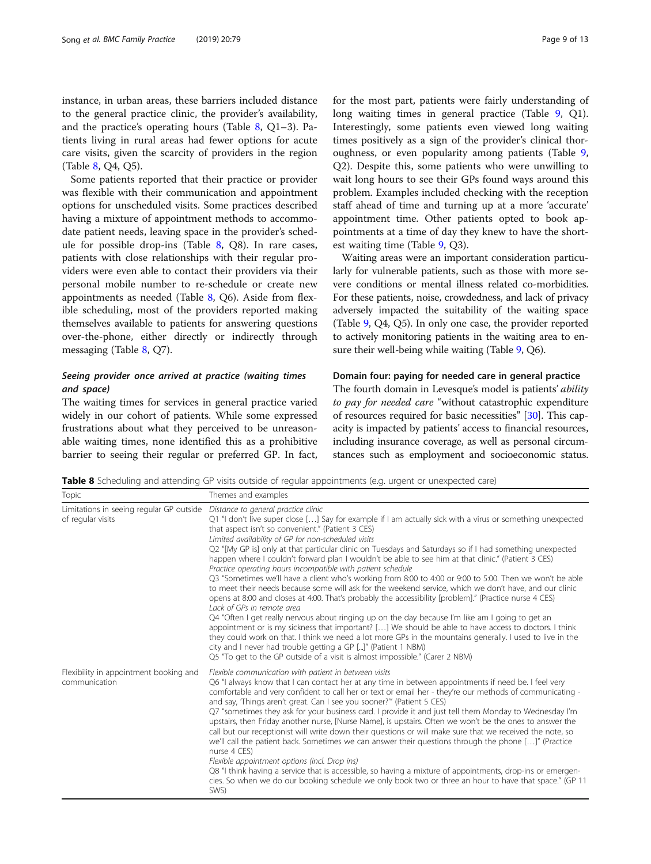instance, in urban areas, these barriers included distance to the general practice clinic, the provider's availability, and the practice's operating hours (Table  $8$ , Q1-3). Patients living in rural areas had fewer options for acute care visits, given the scarcity of providers in the region (Table 8, Q4, Q5).

Some patients reported that their practice or provider was flexible with their communication and appointment options for unscheduled visits. Some practices described having a mixture of appointment methods to accommodate patient needs, leaving space in the provider's schedule for possible drop-ins (Table 8, Q8). In rare cases, patients with close relationships with their regular providers were even able to contact their providers via their personal mobile number to re-schedule or create new appointments as needed (Table 8, Q6). Aside from flexible scheduling, most of the providers reported making themselves available to patients for answering questions over-the-phone, either directly or indirectly through messaging (Table 8, Q7).

# Seeing provider once arrived at practice (waiting times and space)

The waiting times for services in general practice varied widely in our cohort of patients. While some expressed frustrations about what they perceived to be unreasonable waiting times, none identified this as a prohibitive barrier to seeing their regular or preferred GP. In fact, for the most part, patients were fairly understanding of long waiting times in general practice (Table [9](#page-9-0), Q1). Interestingly, some patients even viewed long waiting times positively as a sign of the provider's clinical thoroughness, or even popularity among patients (Table [9](#page-9-0), Q2). Despite this, some patients who were unwilling to wait long hours to see their GPs found ways around this problem. Examples included checking with the reception staff ahead of time and turning up at a more 'accurate' appointment time. Other patients opted to book appointments at a time of day they knew to have the shortest waiting time (Table [9](#page-9-0), Q3).

Waiting areas were an important consideration particularly for vulnerable patients, such as those with more severe conditions or mental illness related co-morbidities. For these patients, noise, crowdedness, and lack of privacy adversely impacted the suitability of the waiting space (Table [9](#page-9-0), Q4, Q5). In only one case, the provider reported to actively monitoring patients in the waiting area to en-sure their well-being while waiting (Table [9](#page-9-0), Q6).

# Domain four: paying for needed care in general practice

The fourth domain in Levesque's model is patients' ability to pay for needed care "without catastrophic expenditure of resources required for basic necessities" [\[30](#page-12-0)]. This capacity is impacted by patients' access to financial resources, including insurance coverage, as well as personal circumstances such as employment and socioeconomic status.

Table 8 Scheduling and attending GP visits outside of regular appointments (e.g. urgent or unexpected care)

| Topic                                                         | Themes and examples                                                                                                                                                                                                                                                                                                                                                                                                                                                                                                                                                                                                                                                                                                                                                                                                                                                                                                                                                                                                                                                                                                                                                                                                                                                                                                                                                                      |
|---------------------------------------------------------------|------------------------------------------------------------------------------------------------------------------------------------------------------------------------------------------------------------------------------------------------------------------------------------------------------------------------------------------------------------------------------------------------------------------------------------------------------------------------------------------------------------------------------------------------------------------------------------------------------------------------------------------------------------------------------------------------------------------------------------------------------------------------------------------------------------------------------------------------------------------------------------------------------------------------------------------------------------------------------------------------------------------------------------------------------------------------------------------------------------------------------------------------------------------------------------------------------------------------------------------------------------------------------------------------------------------------------------------------------------------------------------------|
| Limitations in seeing regular GP outside<br>of regular visits | Distance to general practice clinic<br>Q1 "I don't live super close [] Say for example if I am actually sick with a virus or something unexpected<br>that aspect isn't so convenient." (Patient 3 CES)<br>Limited availability of GP for non-scheduled visits<br>Q2 "[My GP is] only at that particular clinic on Tuesdays and Saturdays so if I had something unexpected<br>happen where I couldn't forward plan I wouldn't be able to see him at that clinic." (Patient 3 CES)<br>Practice operating hours incompatible with patient schedule<br>Q3 "Sometimes we'll have a client who's working from 8:00 to 4:00 or 9:00 to 5:00. Then we won't be able<br>to meet their needs because some will ask for the weekend service, which we don't have, and our clinic<br>opens at 8:00 and closes at 4:00. That's probably the accessibility [problem]." (Practice nurse 4 CES)<br>Lack of GPs in remote area<br>Q4 "Often I get really nervous about ringing up on the day because I'm like am I going to get an<br>appointment or is my sickness that important? [] We should be able to have access to doctors. I think<br>they could work on that. I think we need a lot more GPs in the mountains generally. I used to live in the<br>city and I never had trouble getting a GP []" (Patient 1 NBM)<br>Q5 "To get to the GP outside of a visit is almost impossible." (Carer 2 NBM) |
| Flexibility in appointment booking and<br>communication       | Flexible communication with patient in between visits<br>Q6 "I always know that I can contact her at any time in between appointments if need be. I feel very<br>comfortable and very confident to call her or text or email her - they're our methods of communicating -<br>and say, Things aren't great. Can I see you sooner?"" (Patient 5 CES)<br>Q7 "sometimes they ask for your business card. I provide it and just tell them Monday to Wednesday I'm<br>upstairs, then Friday another nurse, [Nurse Name], is upstairs. Often we won't be the ones to answer the<br>call but our receptionist will write down their questions or will make sure that we received the note, so<br>we'll call the patient back. Sometimes we can answer their questions through the phone []" (Practice<br>nurse 4 CES)<br>Flexible appointment options (incl. Drop ins)<br>Q8 "I think having a service that is accessible, so having a mixture of appointments, drop-ins or emergen-<br>cies. So when we do our booking schedule we only book two or three an hour to have that space." (GP 11<br>SWS)                                                                                                                                                                                                                                                                                           |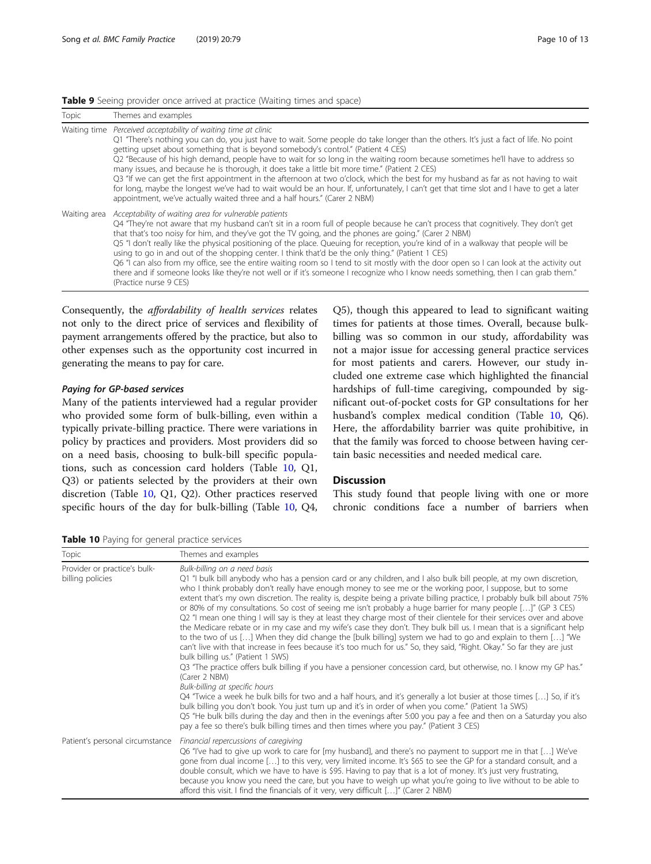<span id="page-9-0"></span>

| <b>Table 9</b> Seeing provider once arrived at practice (Waiting times and space) |  |
|-----------------------------------------------------------------------------------|--|
|-----------------------------------------------------------------------------------|--|

| Topic | Themes and examples                                                                                                                                                                                                                                                                                                                                                                                                                                                                                                                                                                                                                                                                                                                                                                                                                                                                             |
|-------|-------------------------------------------------------------------------------------------------------------------------------------------------------------------------------------------------------------------------------------------------------------------------------------------------------------------------------------------------------------------------------------------------------------------------------------------------------------------------------------------------------------------------------------------------------------------------------------------------------------------------------------------------------------------------------------------------------------------------------------------------------------------------------------------------------------------------------------------------------------------------------------------------|
|       | Waiting time Perceived acceptability of waiting time at clinic<br>Q1 "There's nothing you can do, you just have to wait. Some people do take longer than the others. It's just a fact of life. No point<br>getting upset about something that is beyond somebody's control." (Patient 4 CES)<br>Q2 "Because of his high demand, people have to wait for so long in the waiting room because sometimes he'll have to address so<br>many issues, and because he is thorough, it does take a little bit more time." (Patient 2 CES)<br>Q3 "If we can get the first appointment in the afternoon at two o'clock, which the best for my husband as far as not having to wait<br>for long, maybe the longest we've had to wait would be an hour. If, unfortunately, I can't get that time slot and I have to get a later<br>appointment, we've actually waited three and a half hours." (Carer 2 NBM) |
|       | Waiting area Acceptability of waiting area for vulnerable patients<br>Q4 "They're not aware that my husband can't sit in a room full of people because he can't process that cognitively. They don't get<br>that that's too noisy for him, and they've got the TV going, and the phones are going." (Carer 2 NBM)<br>Q5 "I don't really like the physical positioning of the place. Queuing for reception, you're kind of in a walkway that people will be<br>using to go in and out of the shopping center. I think that'd be the only thing." (Patient 1 CES)<br>Q6 "I can also from my office, see the entire waiting room so I tend to sit mostly with the door open so I can look at the activity out<br>there and if someone looks like they're not well or if it's someone I recognize who I know needs something, then I can grab them."<br>(Practice nurse 9 CES)                      |

Consequently, the affordability of health services relates not only to the direct price of services and flexibility of payment arrangements offered by the practice, but also to other expenses such as the opportunity cost incurred in generating the means to pay for care.

# Paying for GP-based services

Many of the patients interviewed had a regular provider who provided some form of bulk-billing, even within a typically private-billing practice. There were variations in policy by practices and providers. Most providers did so on a need basis, choosing to bulk-bill specific populations, such as concession card holders (Table 10, Q1, Q3) or patients selected by the providers at their own discretion (Table 10, Q1, Q2). Other practices reserved specific hours of the day for bulk-billing (Table 10, Q4,

Table 10 Paying for general practice services

Q5), though this appeared to lead to significant waiting times for patients at those times. Overall, because bulkbilling was so common in our study, affordability was not a major issue for accessing general practice services for most patients and carers. However, our study included one extreme case which highlighted the financial hardships of full-time caregiving, compounded by significant out-of-pocket costs for GP consultations for her husband's complex medical condition (Table 10, Q6). Here, the affordability barrier was quite prohibitive, in that the family was forced to choose between having certain basic necessities and needed medical care.

# **Discussion**

This study found that people living with one or more chronic conditions face a number of barriers when

| Topic                                            | Themes and examples                                                                                                                                                                                                                                                                                                                                                                                                                                                                                                                                                                                                                                                                                                                                                                                                                                                                                                                                                                                                                                                                                                                                                                                                                                                                                                                                |
|--------------------------------------------------|----------------------------------------------------------------------------------------------------------------------------------------------------------------------------------------------------------------------------------------------------------------------------------------------------------------------------------------------------------------------------------------------------------------------------------------------------------------------------------------------------------------------------------------------------------------------------------------------------------------------------------------------------------------------------------------------------------------------------------------------------------------------------------------------------------------------------------------------------------------------------------------------------------------------------------------------------------------------------------------------------------------------------------------------------------------------------------------------------------------------------------------------------------------------------------------------------------------------------------------------------------------------------------------------------------------------------------------------------|
| Provider or practice's bulk-<br>billing policies | Bulk-billing on a need basis<br>Q1 "I bulk bill anybody who has a pension card or any children, and I also bulk bill people, at my own discretion,<br>who I think probably don't really have enough money to see me or the working poor, I suppose, but to some<br>extent that's my own discretion. The reality is, despite being a private billing practice, I probably bulk bill about 75%<br>or 80% of my consultations. So cost of seeing me isn't probably a huge barrier for many people []" (GP 3 CES)<br>Q2 "I mean one thing I will say is they at least they charge most of their clientele for their services over and above<br>the Medicare rebate or in my case and my wife's case they don't. They bulk bill us. I mean that is a significant help<br>to the two of us [] When they did change the [bulk billing] system we had to go and explain to them [] "We<br>can't live with that increase in fees because it's too much for us." So, they said, "Right. Okay." So far they are just<br>bulk billing us." (Patient 1 SWS)<br>Q3 "The practice offers bulk billing if you have a pensioner concession card, but otherwise, no. I know my GP has."<br>(Carer 2 NBM)<br>Bulk-billing at specific hours<br>Q4 "Twice a week he bulk bills for two and a half hours, and it's generally a lot busier at those times [] So, if it's |
|                                                  | bulk billing you don't book. You just turn up and it's in order of when you come." (Patient 1a SWS)<br>Q5 "He bulk bills during the day and then in the evenings after 5:00 you pay a fee and then on a Saturday you also<br>pay a fee so there's bulk billing times and then times where you pay." (Patient 3 CES)                                                                                                                                                                                                                                                                                                                                                                                                                                                                                                                                                                                                                                                                                                                                                                                                                                                                                                                                                                                                                                |
| Patient's personal circumstance                  | Financial repercussions of caregiving<br>Q6 "I've had to give up work to care for [my husband], and there's no payment to support me in that [] We've<br>gone from dual income [] to this very, very limited income. It's \$65 to see the GP for a standard consult, and a<br>double consult, which we have to have is \$95. Having to pay that is a lot of money. It's just very frustrating,<br>because you know you need the care, but you have to weigh up what you're going to live without to be able to<br>afford this visit. I find the financials of it very, very difficult []" (Carer 2 NBM)                                                                                                                                                                                                                                                                                                                                                                                                                                                                                                                                                                                                                                                                                                                                            |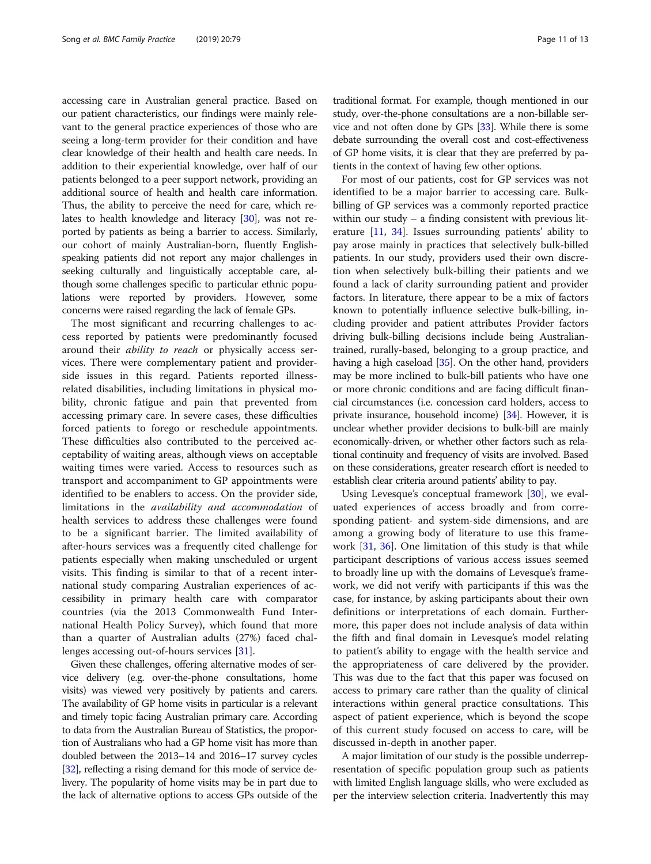accessing care in Australian general practice. Based on our patient characteristics, our findings were mainly relevant to the general practice experiences of those who are seeing a long-term provider for their condition and have clear knowledge of their health and health care needs. In addition to their experiential knowledge, over half of our patients belonged to a peer support network, providing an additional source of health and health care information. Thus, the ability to perceive the need for care, which relates to health knowledge and literacy [[30\]](#page-12-0), was not reported by patients as being a barrier to access. Similarly, our cohort of mainly Australian-born, fluently Englishspeaking patients did not report any major challenges in seeking culturally and linguistically acceptable care, although some challenges specific to particular ethnic populations were reported by providers. However, some concerns were raised regarding the lack of female GPs.

The most significant and recurring challenges to access reported by patients were predominantly focused around their *ability to reach* or physically access services. There were complementary patient and providerside issues in this regard. Patients reported illnessrelated disabilities, including limitations in physical mobility, chronic fatigue and pain that prevented from accessing primary care. In severe cases, these difficulties forced patients to forego or reschedule appointments. These difficulties also contributed to the perceived acceptability of waiting areas, although views on acceptable waiting times were varied. Access to resources such as transport and accompaniment to GP appointments were identified to be enablers to access. On the provider side, limitations in the availability and accommodation of health services to address these challenges were found to be a significant barrier. The limited availability of after-hours services was a frequently cited challenge for patients especially when making unscheduled or urgent visits. This finding is similar to that of a recent international study comparing Australian experiences of accessibility in primary health care with comparator countries (via the 2013 Commonwealth Fund International Health Policy Survey), which found that more than a quarter of Australian adults (27%) faced challenges accessing out-of-hours services [\[31](#page-12-0)].

Given these challenges, offering alternative modes of service delivery (e.g. over-the-phone consultations, home visits) was viewed very positively by patients and carers. The availability of GP home visits in particular is a relevant and timely topic facing Australian primary care. According to data from the Australian Bureau of Statistics, the proportion of Australians who had a GP home visit has more than doubled between the 2013–14 and 2016–17 survey cycles [[32](#page-12-0)], reflecting a rising demand for this mode of service delivery. The popularity of home visits may be in part due to the lack of alternative options to access GPs outside of the traditional format. For example, though mentioned in our study, over-the-phone consultations are a non-billable service and not often done by GPs [\[33\]](#page-12-0). While there is some debate surrounding the overall cost and cost-effectiveness of GP home visits, it is clear that they are preferred by patients in the context of having few other options.

For most of our patients, cost for GP services was not identified to be a major barrier to accessing care. Bulkbilling of GP services was a commonly reported practice within our study – a finding consistent with previous literature [[11](#page-12-0), [34](#page-12-0)]. Issues surrounding patients' ability to pay arose mainly in practices that selectively bulk-billed patients. In our study, providers used their own discretion when selectively bulk-billing their patients and we found a lack of clarity surrounding patient and provider factors. In literature, there appear to be a mix of factors known to potentially influence selective bulk-billing, including provider and patient attributes Provider factors driving bulk-billing decisions include being Australiantrained, rurally-based, belonging to a group practice, and having a high caseload [\[35\]](#page-12-0). On the other hand, providers may be more inclined to bulk-bill patients who have one or more chronic conditions and are facing difficult financial circumstances (i.e. concession card holders, access to private insurance, household income) [\[34\]](#page-12-0). However, it is unclear whether provider decisions to bulk-bill are mainly economically-driven, or whether other factors such as relational continuity and frequency of visits are involved. Based on these considerations, greater research effort is needed to establish clear criteria around patients' ability to pay.

Using Levesque's conceptual framework [\[30](#page-12-0)], we evaluated experiences of access broadly and from corresponding patient- and system-side dimensions, and are among a growing body of literature to use this framework [\[31,](#page-12-0) [36\]](#page-12-0). One limitation of this study is that while participant descriptions of various access issues seemed to broadly line up with the domains of Levesque's framework, we did not verify with participants if this was the case, for instance, by asking participants about their own definitions or interpretations of each domain. Furthermore, this paper does not include analysis of data within the fifth and final domain in Levesque's model relating to patient's ability to engage with the health service and the appropriateness of care delivered by the provider. This was due to the fact that this paper was focused on access to primary care rather than the quality of clinical interactions within general practice consultations. This aspect of patient experience, which is beyond the scope of this current study focused on access to care, will be discussed in-depth in another paper.

A major limitation of our study is the possible underrepresentation of specific population group such as patients with limited English language skills, who were excluded as per the interview selection criteria. Inadvertently this may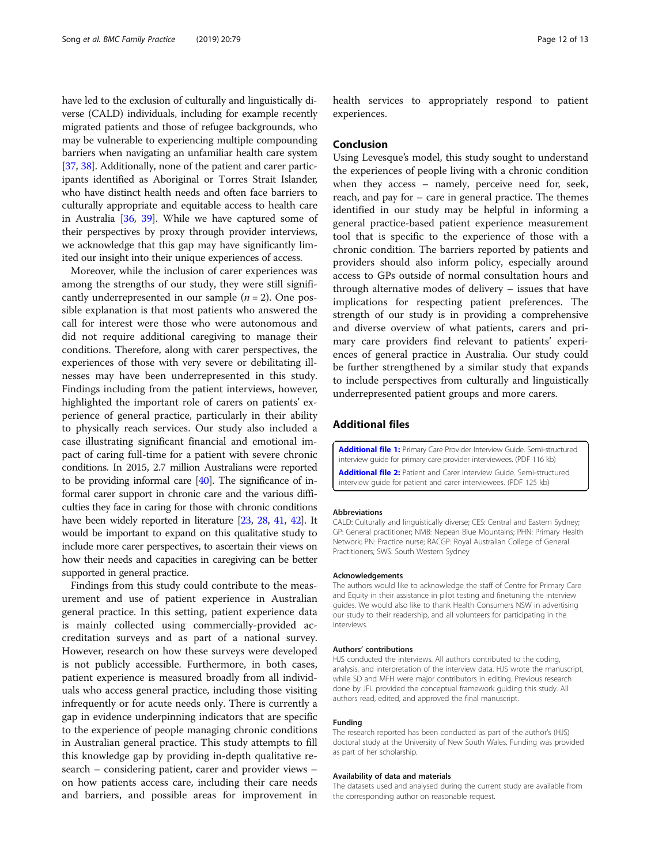<span id="page-11-0"></span>have led to the exclusion of culturally and linguistically diverse (CALD) individuals, including for example recently migrated patients and those of refugee backgrounds, who may be vulnerable to experiencing multiple compounding barriers when navigating an unfamiliar health care system [[37](#page-12-0), [38\]](#page-12-0). Additionally, none of the patient and carer participants identified as Aboriginal or Torres Strait Islander, who have distinct health needs and often face barriers to culturally appropriate and equitable access to health care in Australia [\[36,](#page-12-0) [39](#page-12-0)]. While we have captured some of their perspectives by proxy through provider interviews, we acknowledge that this gap may have significantly limited our insight into their unique experiences of access.

Moreover, while the inclusion of carer experiences was among the strengths of our study, they were still significantly underrepresented in our sample  $(n = 2)$ . One possible explanation is that most patients who answered the call for interest were those who were autonomous and did not require additional caregiving to manage their conditions. Therefore, along with carer perspectives, the experiences of those with very severe or debilitating illnesses may have been underrepresented in this study. Findings including from the patient interviews, however, highlighted the important role of carers on patients' experience of general practice, particularly in their ability to physically reach services. Our study also included a case illustrating significant financial and emotional impact of caring full-time for a patient with severe chronic conditions. In 2015, 2.7 million Australians were reported to be providing informal care [\[40](#page-12-0)]. The significance of informal carer support in chronic care and the various difficulties they face in caring for those with chronic conditions have been widely reported in literature [\[23,](#page-12-0) [28](#page-12-0), [41](#page-12-0), [42](#page-12-0)]. It would be important to expand on this qualitative study to include more carer perspectives, to ascertain their views on how their needs and capacities in caregiving can be better supported in general practice.

Findings from this study could contribute to the measurement and use of patient experience in Australian general practice. In this setting, patient experience data is mainly collected using commercially-provided accreditation surveys and as part of a national survey. However, research on how these surveys were developed is not publicly accessible. Furthermore, in both cases, patient experience is measured broadly from all individuals who access general practice, including those visiting infrequently or for acute needs only. There is currently a gap in evidence underpinning indicators that are specific to the experience of people managing chronic conditions in Australian general practice. This study attempts to fill this knowledge gap by providing in-depth qualitative research – considering patient, carer and provider views – on how patients access care, including their care needs and barriers, and possible areas for improvement in health services to appropriately respond to patient experiences.

# Conclusion

Using Levesque's model, this study sought to understand the experiences of people living with a chronic condition when they access – namely, perceive need for, seek, reach, and pay for – care in general practice. The themes identified in our study may be helpful in informing a general practice-based patient experience measurement tool that is specific to the experience of those with a chronic condition. The barriers reported by patients and providers should also inform policy, especially around access to GPs outside of normal consultation hours and through alternative modes of delivery – issues that have implications for respecting patient preferences. The strength of our study is in providing a comprehensive and diverse overview of what patients, carers and primary care providers find relevant to patients' experiences of general practice in Australia. Our study could be further strengthened by a similar study that expands to include perspectives from culturally and linguistically underrepresented patient groups and more carers.

# Additional files

[Additional file 1:](https://doi.org/10.1186/s12875-019-0973-0) Primary Care Provider Interview Guide. Semi-structured interview guide for primary care provider interviewees. (PDF 116 kb) [Additional file 2:](https://doi.org/10.1186/s12875-019-0973-0) Patient and Carer Interview Guide. Semi-structured

interview guide for patient and carer interviewees. (PDF 125 kb)

#### Abbreviations

CALD: Culturally and linguistically diverse; CES: Central and Eastern Sydney; GP: General practitioner; NMB: Nepean Blue Mountains; PHN: Primary Health Network; PN: Practice nurse; RACGP: Royal Australian College of General Practitioners; SWS: South Western Sydney

## Acknowledgements

The authors would like to acknowledge the staff of Centre for Primary Care and Equity in their assistance in pilot testing and finetuning the interview guides. We would also like to thank Health Consumers NSW in advertising our study to their readership, and all volunteers for participating in the interviews.

## Authors' contributions

HJS conducted the interviews. All authors contributed to the coding, analysis, and interpretation of the interview data. HJS wrote the manuscript, while SD and MFH were major contributors in editing. Previous research done by JFL provided the conceptual framework guiding this study. All authors read, edited, and approved the final manuscript.

## Funding

The research reported has been conducted as part of the author's (HJS) doctoral study at the University of New South Wales. Funding was provided as part of her scholarship.

#### Availability of data and materials

The datasets used and analysed during the current study are available from the corresponding author on reasonable request.